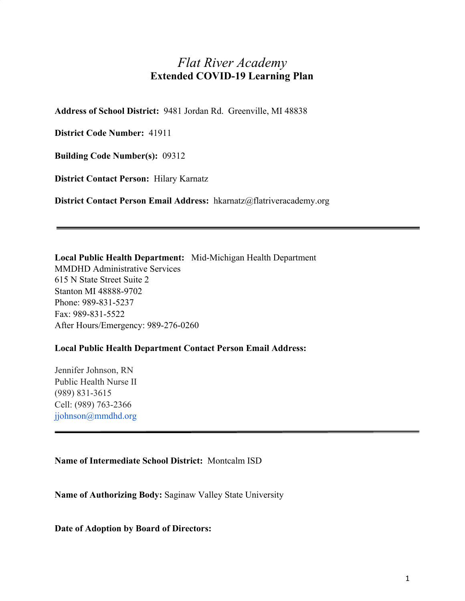# *Flat River Academy* **Extended COVID-19 Learning Plan**

**Address of School District:** 9481 Jordan Rd. Greenville, MI 48838

**District Code Number:** 41911

**Building Code Number(s):** 09312

**District Contact Person:** Hilary Karnatz

**District Contact Person Email Address:** hkarnatz@flatriveracademy.org

**Local Public Health Department:** Mid-Michigan Health Department MMDHD Administrative Services 615 N State Street Suite 2 Stanton MI 48888-9702 Phone: 989-831-5237 Fax: 989-831-5522 After Hours/Emergency: 989-276-0260

### **Local Public Health Department Contact Person Email Address:**

Jennifer Johnson, RN Public Health Nurse II (989) 831-3615 Cell: (989) 763-2366 jjohnson@mmdhd.org

### **Name of Intermediate School District:** Montcalm ISD

**Name of Authorizing Body:** Saginaw Valley State University

**Date of Adoption by Board of Directors:**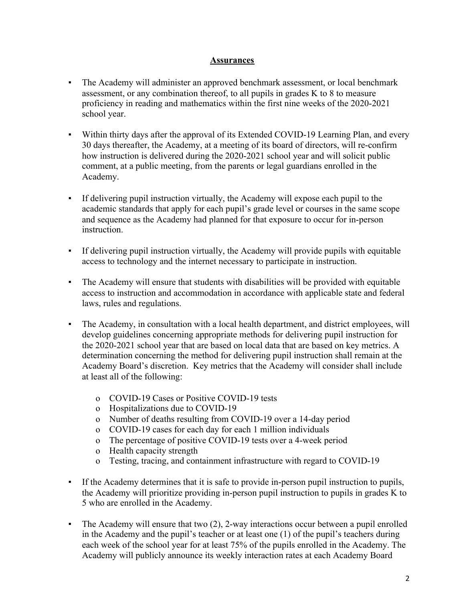### **Assurances**

- The Academy will administer an approved benchmark assessment, or local benchmark assessment, or any combination thereof, to all pupils in grades K to 8 to measure proficiency in reading and mathematics within the first nine weeks of the 2020-2021 school year.
- Within thirty days after the approval of its Extended COVID-19 Learning Plan, and every 30 days thereafter, the Academy, at a meeting of its board of directors, will re-confirm how instruction is delivered during the 2020-2021 school year and will solicit public comment, at a public meeting, from the parents or legal guardians enrolled in the Academy.
- If delivering pupil instruction virtually, the Academy will expose each pupil to the academic standards that apply for each pupil's grade level or courses in the same scope and sequence as the Academy had planned for that exposure to occur for in-person instruction.
- If delivering pupil instruction virtually, the Academy will provide pupils with equitable access to technology and the internet necessary to participate in instruction.
- The Academy will ensure that students with disabilities will be provided with equitable access to instruction and accommodation in accordance with applicable state and federal laws, rules and regulations.
- The Academy, in consultation with a local health department, and district employees, will develop guidelines concerning appropriate methods for delivering pupil instruction for the 2020-2021 school year that are based on local data that are based on key metrics. A determination concerning the method for delivering pupil instruction shall remain at the Academy Board's discretion. Key metrics that the Academy will consider shall include at least all of the following:
	- o COVID-19 Cases or Positive COVID-19 tests
	- o Hospitalizations due to COVID-19
	- o Number of deaths resulting from COVID-19 over a 14-day period
	- o COVID-19 cases for each day for each 1 million individuals
	- o The percentage of positive COVID-19 tests over a 4-week period
	- o Health capacity strength
	- o Testing, tracing, and containment infrastructure with regard to COVID-19
- If the Academy determines that it is safe to provide in-person pupil instruction to pupils, the Academy will prioritize providing in-person pupil instruction to pupils in grades K to 5 who are enrolled in the Academy.
- The Academy will ensure that two (2), 2-way interactions occur between a pupil enrolled in the Academy and the pupil's teacher or at least one (1) of the pupil's teachers during each week of the school year for at least 75% of the pupils enrolled in the Academy. The Academy will publicly announce its weekly interaction rates at each Academy Board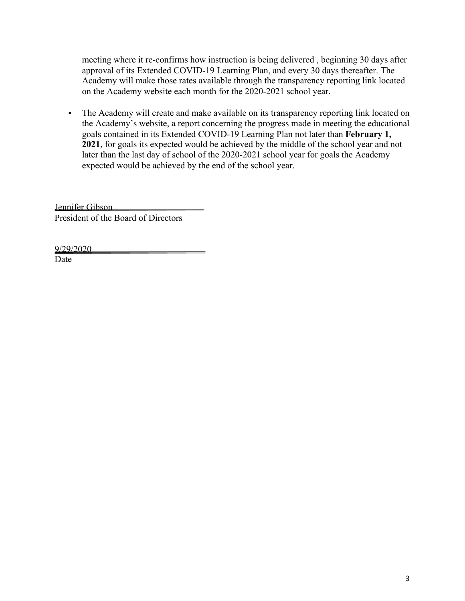meeting where it re-confirms how instruction is being delivered , beginning 30 days after approval of its Extended COVID-19 Learning Plan, and every 30 days thereafter. The Academy will make those rates available through the transparency reporting link located on the Academy website each month for the 2020-2021 school year.

▪ The Academy will create and make available on its transparency reporting link located on the Academy's website, a report concerning the progress made in meeting the educational goals contained in its Extended COVID-19 Learning Plan not later than **February 1, 2021**, for goals its expected would be achieved by the middle of the school year and not later than the last day of school of the 2020-2021 school year for goals the Academy expected would be achieved by the end of the school year.

Jennifer Gibson President of the Board of Directors

9/29/2020

Date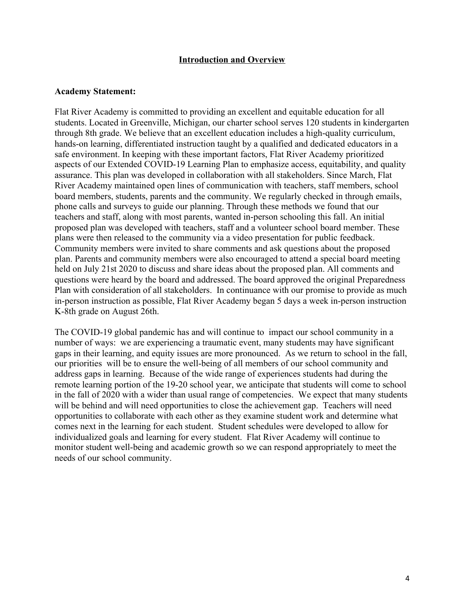### **Introduction and Overview**

#### **Academy Statement:**

Flat River Academy is committed to providing an excellent and equitable education for all students. Located in Greenville, Michigan, our charter school serves 120 students in kindergarten through 8th grade. We believe that an excellent education includes a high-quality curriculum, hands-on learning, differentiated instruction taught by a qualified and dedicated educators in a safe environment. In keeping with these important factors, Flat River Academy prioritized aspects of our Extended COVID-19 Learning Plan to emphasize access, equitability, and quality assurance. This plan was developed in collaboration with all stakeholders. Since March, Flat River Academy maintained open lines of communication with teachers, staff members, school board members, students, parents and the community. We regularly checked in through emails, phone calls and surveys to guide our planning. Through these methods we found that our teachers and staff, along with most parents, wanted in-person schooling this fall. An initial proposed plan was developed with teachers, staff and a volunteer school board member. These plans were then released to the community via a video presentation for public feedback. Community members were invited to share comments and ask questions about the proposed plan. Parents and community members were also encouraged to attend a special board meeting held on July 21st 2020 to discuss and share ideas about the proposed plan. All comments and questions were heard by the board and addressed. The board approved the original Preparedness Plan with consideration of all stakeholders. In continuance with our promise to provide as much in-person instruction as possible, Flat River Academy began 5 days a week in-person instruction K-8th grade on August 26th.

The COVID-19 global pandemic has and will continue to impact our school community in a number of ways: we are experiencing a traumatic event, many students may have significant gaps in their learning, and equity issues are more pronounced. As we return to school in the fall, our priorities will be to ensure the well-being of all members of our school community and address gaps in learning. Because of the wide range of experiences students had during the remote learning portion of the 19-20 school year, we anticipate that students will come to school in the fall of 2020 with a wider than usual range of competencies. We expect that many students will be behind and will need opportunities to close the achievement gap. Teachers will need opportunities to collaborate with each other as they examine student work and determine what comes next in the learning for each student. Student schedules were developed to allow for individualized goals and learning for every student. Flat River Academy will continue to monitor student well-being and academic growth so we can respond appropriately to meet the needs of our school community.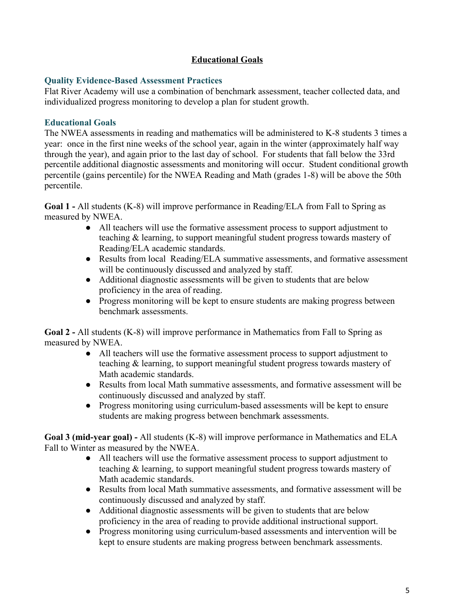# **Educational Goals**

### **Quality Evidence-Based Assessment Practices**

Flat River Academy will use a combination of benchmark assessment, teacher collected data, and individualized progress monitoring to develop a plan for student growth.

## **Educational Goals**

The NWEA assessments in reading and mathematics will be administered to K-8 students 3 times a year: once in the first nine weeks of the school year, again in the winter (approximately half way through the year), and again prior to the last day of school. For students that fall below the 33rd percentile additional diagnostic assessments and monitoring will occur. Student conditional growth percentile (gains percentile) for the NWEA Reading and Math (grades 1-8) will be above the 50th percentile.

**Goal 1 -** All students (K-8) will improve performance in Reading/ELA from Fall to Spring as measured by NWEA.

- All teachers will use the formative assessment process to support adjustment to teaching & learning, to support meaningful student progress towards mastery of Reading/ELA academic standards.
- Results from local Reading/ELA summative assessments, and formative assessment will be continuously discussed and analyzed by staff.
- Additional diagnostic assessments will be given to students that are below proficiency in the area of reading.
- Progress monitoring will be kept to ensure students are making progress between benchmark assessments.

**Goal 2 -** All students (K-8) will improve performance in Mathematics from Fall to Spring as measured by NWEA.

- All teachers will use the formative assessment process to support adjustment to teaching & learning, to support meaningful student progress towards mastery of Math academic standards.
- Results from local Math summative assessments, and formative assessment will be continuously discussed and analyzed by staff.
- Progress monitoring using curriculum-based assessments will be kept to ensure students are making progress between benchmark assessments.

**Goal 3 (mid-year goal) -** All students (K-8) will improve performance in Mathematics and ELA Fall to Winter as measured by the NWEA.

- All teachers will use the formative assessment process to support adjustment to teaching & learning, to support meaningful student progress towards mastery of Math academic standards.
- Results from local Math summative assessments, and formative assessment will be continuously discussed and analyzed by staff.
- Additional diagnostic assessments will be given to students that are below proficiency in the area of reading to provide additional instructional support.
- Progress monitoring using curriculum-based assessments and intervention will be kept to ensure students are making progress between benchmark assessments.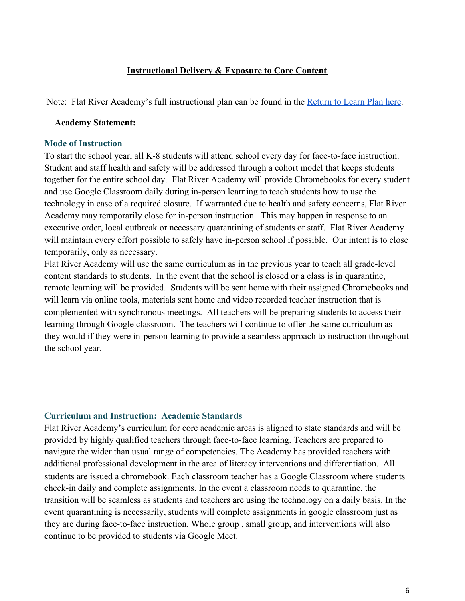### **Instructional Delivery & Exposure to Core Content**

Note: Flat River Academy's full instructional plan can be found in the [Return to Learn Plan here](https://a16e7ec5-f7ed-4707-9644-4d6a75be672f.filesusr.com/ugd/eebb5e_142d9764a2d746e1b877eedc79bd9193.pdf).

### **Academy Statement:**

#### **Mode of Instruction**

To start the school year, all K-8 students will attend school every day for face-to-face instruction. Student and staff health and safety will be addressed through a cohort model that keeps students together for the entire school day. Flat River Academy will provide Chromebooks for every student and use Google Classroom daily during in-person learning to teach students how to use the technology in case of a required closure. If warranted due to health and safety concerns, Flat River Academy may temporarily close for in-person instruction. This may happen in response to an executive order, local outbreak or necessary quarantining of students or staff. Flat River Academy will maintain every effort possible to safely have in-person school if possible. Our intent is to close temporarily, only as necessary.

Flat River Academy will use the same curriculum as in the previous year to teach all grade-level content standards to students. In the event that the school is closed or a class is in quarantine, remote learning will be provided. Students will be sent home with their assigned Chromebooks and will learn via online tools, materials sent home and video recorded teacher instruction that is complemented with synchronous meetings. All teachers will be preparing students to access their learning through Google classroom. The teachers will continue to offer the same curriculum as they would if they were in-person learning to provide a seamless approach to instruction throughout the school year.

### **Curriculum and Instruction: Academic Standards**

Flat River Academy's curriculum for core academic areas is aligned to state standards and will be provided by highly qualified teachers through face-to-face learning. Teachers are prepared to navigate the wider than usual range of competencies. The Academy has provided teachers with additional professional development in the area of literacy interventions and differentiation. All students are issued a chromebook. Each classroom teacher has a Google Classroom where students check-in daily and complete assignments. In the event a classroom needs to quarantine, the transition will be seamless as students and teachers are using the technology on a daily basis. In the event quarantining is necessarily, students will complete assignments in google classroom just as they are during face-to-face instruction. Whole group , small group, and interventions will also continue to be provided to students via Google Meet.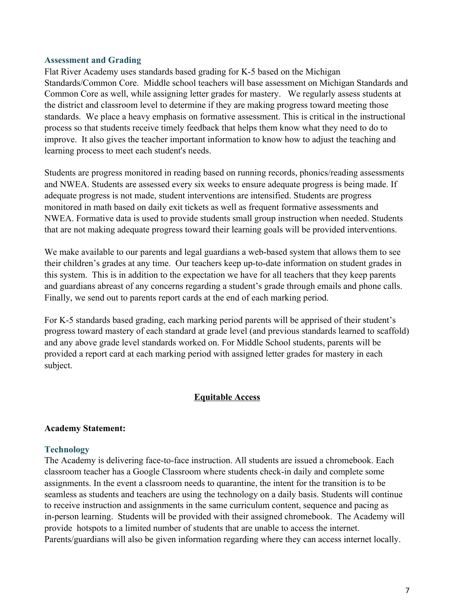### **Assessment and Grading**

Flat River Academy uses standards based grading for K-5 based on the Michigan Standards/Common Core. Middle school teachers will base assessment on Michigan Standards and Common Core as well, while assigning letter grades for mastery. We regularly assess students at the district and classroom level to determine if they are making progress toward meeting those standards. We place a heavy emphasis on formative assessment. This is critical in the instructional process so that students receive timely feedback that helps them know what they need to do to improve. It also gives the teacher important information to know how to adjust the teaching and learning process to meet each student's needs.

Students are progress monitored in reading based on running records, phonics/reading assessments and NWEA. Students are assessed every six weeks to ensure adequate progress is being made. If adequate progress is not made, student interventions are intensified. Students are progress monitored in math based on daily exit tickets as well as frequent formative assessments and NWEA. Formative data is used to provide students small group instruction when needed. Students that are not making adequate progress toward their learning goals will be provided interventions.

We make available to our parents and legal guardians a web-based system that allows them to see their children's grades at any time. Our teachers keep up-to-date information on student grades in this system. This is in addition to the expectation we have for all teachers that they keep parents and guardians abreast of any concerns regarding a student's grade through emails and phone calls. Finally, we send out to parents report cards at the end of each marking period.

For K-5 standards based grading, each marking period parents will be apprised of their student's progress toward mastery of each standard at grade level (and previous standards learned to scaffold) and any above grade level standards worked on. For Middle School students, parents will be provided a report card at each marking period with assigned letter grades for mastery in each subject.

### **Equitable Access**

### **Academy Statement:**

### **Technology**

The Academy is delivering face-to-face instruction. All students are issued a chromebook. Each classroom teacher has a Google Classroom where students check-in daily and complete some assignments. In the event a classroom needs to quarantine, the intent for the transition is to be seamless as students and teachers are using the technology on a daily basis. Students will continue to receive instruction and assignments in the same curriculum content, sequence and pacing as in-person learning. Students will be provided with their assigned chromebook. The Academy will provide hotspots to a limited number of students that are unable to access the internet. Parents/guardians will also be given information regarding where they can access internet locally.